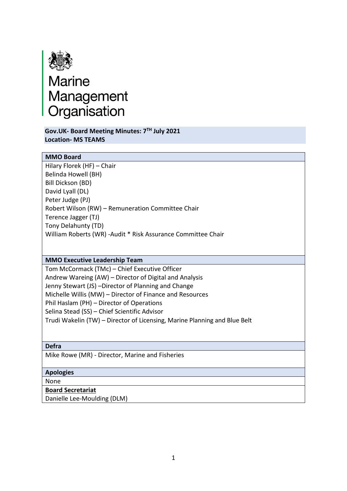

**Gov.UK- Board Meeting Minutes: 7TH July 2021 Location- MS TEAMS**

## **MMO Board**

Hilary Florek (HF) – Chair Belinda Howell (BH) Bill Dickson (BD) David Lyall (DL) Peter Judge (PJ) Robert Wilson (RW) – Remuneration Committee Chair Terence Jagger (TJ) Tony Delahunty (TD) William Roberts (WR) -Audit \* Risk Assurance Committee Chair

### **MMO Executive Leadership Team**

Tom McCormack (TMc) – Chief Executive Officer Andrew Wareing (AW) – Director of Digital and Analysis Jenny Stewart (JS) –Director of Planning and Change Michelle Willis (MW) – Director of Finance and Resources Phil Haslam (PH) – Director of Operations Selina Stead (SS) – Chief Scientific Advisor Trudi Wakelin (TW) – Director of Licensing, Marine Planning and Blue Belt

**Defra**

Mike Rowe (MR) - Director, Marine and Fisheries

### **Apologies**

None

### **Board Secretariat**

Danielle Lee-Moulding (DLM)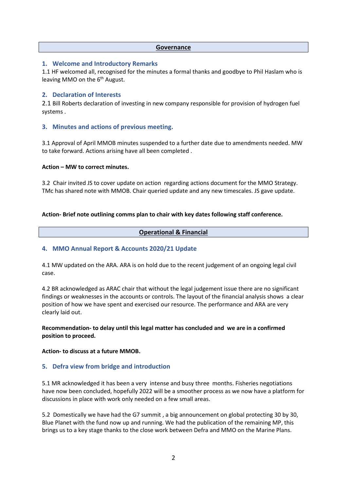#### **Governance**

### **1. Welcome and Introductory Remarks**

1.1 HF welcomed all, recognised for the minutes a formal thanks and goodbye to Phil Haslam who is leaving MMO on the  $6<sup>th</sup>$  August.

## **2. Declaration of Interests**

2.1 Bill Roberts declaration of investing in new company responsible for provision of hydrogen fuel systems .

## **3. Minutes and actions of previous meeting.**

3.1 Approval of April MMOB minutes suspended to a further date due to amendments needed. MW to take forward. Actions arising have all been completed .

### **Action – MW to correct minutes.**

3.2 Chair invited JS to cover update on action regarding actions document for the MMO Strategy. TMc has shared note with MMOB. Chair queried update and any new timescales. JS gave update.

### **Action- Brief note outlining comms plan to chair with key dates following staff conference.**

### **Operational & Financial**

## **4. MMO Annual Report & Accounts 2020/21 Update**

4.1 MW updated on the ARA. ARA is on hold due to the recent judgement of an ongoing legal civil case.

4.2 BR acknowledged as ARAC chair that without the legal judgement issue there are no significant findings or weaknesses in the accounts or controls. The layout of the financial analysis shows a clear position of how we have spent and exercised our resource. The performance and ARA are very clearly laid out.

## **Recommendation- to delay until this legal matter has concluded and we are in a confirmed position to proceed.**

### **Action- to discuss at a future MMOB.**

### **5. Defra view from bridge and introduction**

5.1 MR acknowledged it has been a very intense and busy three months. Fisheries negotiations have now been concluded, hopefully 2022 will be a smoother process as we now have a platform for discussions in place with work only needed on a few small areas.

5.2 Domestically we have had the G7 summit , a big announcement on global protecting 30 by 30, Blue Planet with the fund now up and running. We had the publication of the remaining MP, this brings us to a key stage thanks to the close work between Defra and MMO on the Marine Plans.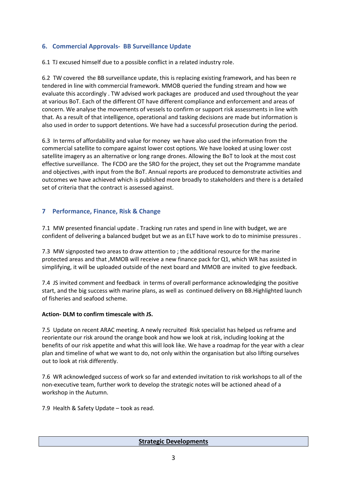# **6. Commercial Approvals- BB Surveillance Update**

6.1 TJ excused himself due to a possible conflict in a related industry role.

6.2 TW covered the BB surveillance update, this is replacing existing framework, and has been re tendered in line with commercial framework. MMOB queried the funding stream and how we evaluate this accordingly . TW advised work packages are produced and used throughout the year at various BoT. Each of the different OT have different compliance and enforcement and areas of concern. We analyse the movements of vessels to confirm or support risk assessments in line with that. As a result of that intelligence, operational and tasking decisions are made but information is also used in order to support detentions. We have had a successful prosecution during the period.

6.3 In terms of affordability and value for money we have also used the information from the commercial satellite to compare against lower cost options. We have looked at using lower cost satellite imagery as an alternative or long range drones. Allowing the BoT to look at the most cost effective surveillance. The FCDO are the SRO for the project, they set out the Programme mandate and objectives ,with input from the BoT. Annual reports are produced to demonstrate activities and outcomes we have achieved which is published more broadly to stakeholders and there is a detailed set of criteria that the contract is assessed against.

# **7 Performance, Finance, Risk & Change**

7.1 MW presented financial update . Tracking run rates and spend in line with budget, we are confident of delivering a balanced budget but we as an ELT have work to do to minimise pressures .

7.3 MW signposted two areas to draw attention to ; the additional resource for the marine protected areas and that ,MMOB will receive a new finance pack for Q1, which WR has assisted in simplifying, it will be uploaded outside of the next board and MMOB are invited to give feedback.

7.4 JS invited comment and feedback in terms of overall performance acknowledging the positive start, and the big success with marine plans, as well as continued delivery on BB.Highlighted launch of fisheries and seafood scheme.

## **Action- DLM to confirm timescale with JS.**

7.5 Update on recent ARAC meeting. A newly recruited Risk specialist has helped us reframe and reorientate our risk around the orange book and how we look at risk, including looking at the benefits of our risk appetite and what this will look like. We have a roadmap for the year with a clear plan and timeline of what we want to do, not only within the organisation but also lifting ourselves out to look at risk differently.

7.6 WR acknowledged success of work so far and extended invitation to risk workshops to all of the non-executive team, further work to develop the strategic notes will be actioned ahead of a workshop in the Autumn.

7.9 Health & Safety Update – took as read.

## **Strategic Developments**